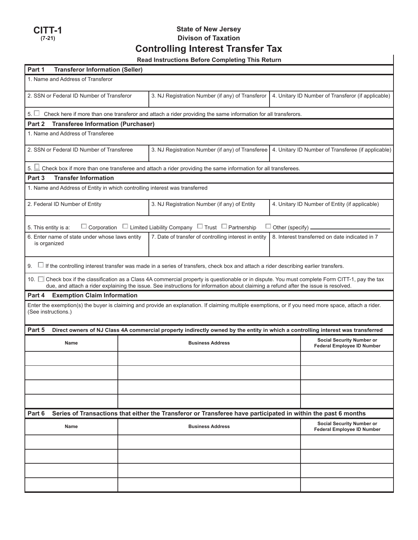

# **State of New Jersey Divison of Taxation Controlling Interest Transfer Tax**

|  | <b>Read Instructions Before Completing This Return</b> |  |  |  |
|--|--------------------------------------------------------|--|--|--|
|--|--------------------------------------------------------|--|--|--|

| Part 1<br><b>Transferor Information (Seller)</b>                                                                                                                                                                                                                                         |                                                                                                                                           |                                                                                                                           |                                                                       |                                                    |  |  |  |  |
|------------------------------------------------------------------------------------------------------------------------------------------------------------------------------------------------------------------------------------------------------------------------------------------|-------------------------------------------------------------------------------------------------------------------------------------------|---------------------------------------------------------------------------------------------------------------------------|-----------------------------------------------------------------------|----------------------------------------------------|--|--|--|--|
| 1. Name and Address of Transferor                                                                                                                                                                                                                                                        |                                                                                                                                           |                                                                                                                           |                                                                       |                                                    |  |  |  |  |
| 2. SSN or Federal ID Number of Transferor                                                                                                                                                                                                                                                |                                                                                                                                           | 3. NJ Registration Number (if any) of Transferor                                                                          |                                                                       | 4. Unitary ID Number of Transferor (if applicable) |  |  |  |  |
|                                                                                                                                                                                                                                                                                          |                                                                                                                                           | $5.$ $\Box$ Check here if more than one transferor and attach a rider providing the same information for all transferors. |                                                                       |                                                    |  |  |  |  |
| <b>Transferee Information (Purchaser)</b><br>Part 2                                                                                                                                                                                                                                      |                                                                                                                                           |                                                                                                                           |                                                                       |                                                    |  |  |  |  |
| 1. Name and Address of Transferee                                                                                                                                                                                                                                                        |                                                                                                                                           |                                                                                                                           |                                                                       |                                                    |  |  |  |  |
| 2. SSN or Federal ID Number of Transferee                                                                                                                                                                                                                                                |                                                                                                                                           | 3. NJ Registration Number (if any) of Transferee   4. Unitary ID Number of Transferee (if applicable)                     |                                                                       |                                                    |  |  |  |  |
|                                                                                                                                                                                                                                                                                          |                                                                                                                                           | 5. $\Box$ Check box if more than one transferee and attach a rider providing the same information for all transferees.    |                                                                       |                                                    |  |  |  |  |
| <b>Transfer Information</b><br>Part 3                                                                                                                                                                                                                                                    |                                                                                                                                           |                                                                                                                           |                                                                       |                                                    |  |  |  |  |
|                                                                                                                                                                                                                                                                                          | 1. Name and Address of Entity in which controlling interest was transferred                                                               |                                                                                                                           |                                                                       |                                                    |  |  |  |  |
| 2. Federal ID Number of Entity                                                                                                                                                                                                                                                           |                                                                                                                                           | 3. NJ Registration Number (if any) of Entity                                                                              |                                                                       | 4. Unitary ID Number of Entity (if applicable)     |  |  |  |  |
| Corporation $\Box$ Limited Liability Company $\Box$ Trust $\Box$ Partnership<br>5. This entity is a:<br>Other (specify).                                                                                                                                                                 |                                                                                                                                           |                                                                                                                           |                                                                       |                                                    |  |  |  |  |
| 6. Enter name of state under whose laws entity<br>is organized                                                                                                                                                                                                                           |                                                                                                                                           | 7. Date of transfer of controlling interest in entity                                                                     |                                                                       | 8. Interest transferred on date indicated in 7     |  |  |  |  |
| 9.                                                                                                                                                                                                                                                                                       | $\Box$ If the controlling interest transfer was made in a series of transfers, check box and attach a rider describing earlier transfers. |                                                                                                                           |                                                                       |                                                    |  |  |  |  |
| 10. □ Check box if the classification as a Class 4A commercial property is questionable or in dispute. You must complete Form CITT-1, pay the tax<br>due, and attach a rider explaining the issue. See instructions for information about claiming a refund after the issue is resolved. |                                                                                                                                           |                                                                                                                           |                                                                       |                                                    |  |  |  |  |
| <b>Exemption Claim Information</b><br>Part 4                                                                                                                                                                                                                                             |                                                                                                                                           |                                                                                                                           |                                                                       |                                                    |  |  |  |  |
| Enter the exemption(s) the buyer is claiming and provide an explanation. If claiming multiple exemptions, or if you need more space, attach a rider.<br>(See instructions.)                                                                                                              |                                                                                                                                           |                                                                                                                           |                                                                       |                                                    |  |  |  |  |
| Part 5                                                                                                                                                                                                                                                                                   | Direct owners of NJ Class 4A commercial property indirectly owned by the entity in which a controlling interest was transferred           |                                                                                                                           |                                                                       |                                                    |  |  |  |  |
| Name                                                                                                                                                                                                                                                                                     |                                                                                                                                           | <b>Business Address</b>                                                                                                   | <b>Social Security Number or</b><br><b>Federal Employee ID Number</b> |                                                    |  |  |  |  |
|                                                                                                                                                                                                                                                                                          |                                                                                                                                           |                                                                                                                           |                                                                       |                                                    |  |  |  |  |
|                                                                                                                                                                                                                                                                                          |                                                                                                                                           |                                                                                                                           |                                                                       |                                                    |  |  |  |  |
|                                                                                                                                                                                                                                                                                          |                                                                                                                                           |                                                                                                                           |                                                                       |                                                    |  |  |  |  |
|                                                                                                                                                                                                                                                                                          |                                                                                                                                           |                                                                                                                           |                                                                       |                                                    |  |  |  |  |
| Part 6<br>Series of Transactions that either the Transferor or Transferee have participated in within the past 6 months                                                                                                                                                                  |                                                                                                                                           |                                                                                                                           |                                                                       |                                                    |  |  |  |  |
| Name                                                                                                                                                                                                                                                                                     | <b>Business Address</b>                                                                                                                   |                                                                                                                           |                                                                       |                                                    |  |  |  |  |
|                                                                                                                                                                                                                                                                                          |                                                                                                                                           |                                                                                                                           |                                                                       |                                                    |  |  |  |  |
|                                                                                                                                                                                                                                                                                          |                                                                                                                                           |                                                                                                                           |                                                                       |                                                    |  |  |  |  |
|                                                                                                                                                                                                                                                                                          |                                                                                                                                           |                                                                                                                           |                                                                       |                                                    |  |  |  |  |
|                                                                                                                                                                                                                                                                                          |                                                                                                                                           |                                                                                                                           |                                                                       |                                                    |  |  |  |  |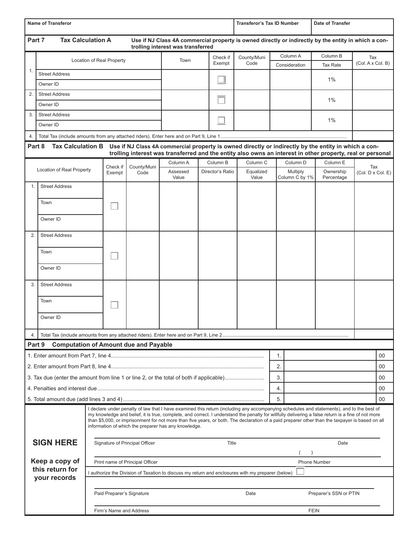| <b>Name of Transferor</b>                                                                                                                                                                                                                                                                                                                                                                                                                                                                                  |                                         |                                                                                                   |                                         |                                              | <b>Transferor's Tax ID Number</b> |  | Date of Transfer |                    |                            |                                                                                                            |                          |    |
|------------------------------------------------------------------------------------------------------------------------------------------------------------------------------------------------------------------------------------------------------------------------------------------------------------------------------------------------------------------------------------------------------------------------------------------------------------------------------------------------------------|-----------------------------------------|---------------------------------------------------------------------------------------------------|-----------------------------------------|----------------------------------------------|-----------------------------------|--|------------------|--------------------|----------------------------|------------------------------------------------------------------------------------------------------------|--------------------------|----|
| Part 7<br><b>Tax Calculation A</b><br>Use if NJ Class 4A commercial property is owned directly or indirectly by the entity in which a con-<br>trolling interest was transferred                                                                                                                                                                                                                                                                                                                            |                                         |                                                                                                   |                                         |                                              |                                   |  |                  |                    |                            |                                                                                                            |                          |    |
|                                                                                                                                                                                                                                                                                                                                                                                                                                                                                                            |                                         | Location of Real Property                                                                         |                                         |                                              | Town                              |  | Check if         | County/Muni        | Column A                   | Column B                                                                                                   | Tax                      |    |
| 1.                                                                                                                                                                                                                                                                                                                                                                                                                                                                                                         |                                         |                                                                                                   |                                         |                                              |                                   |  | Exempt           | Code               | Consideration              | <b>Tax Rate</b>                                                                                            | (Col. A x Col. B)        |    |
|                                                                                                                                                                                                                                                                                                                                                                                                                                                                                                            | <b>Street Address</b>                   |                                                                                                   |                                         |                                              |                                   |  |                  |                    |                            | 1%                                                                                                         |                          |    |
|                                                                                                                                                                                                                                                                                                                                                                                                                                                                                                            | Owner ID                                |                                                                                                   |                                         |                                              |                                   |  |                  |                    |                            |                                                                                                            |                          |    |
| 2.                                                                                                                                                                                                                                                                                                                                                                                                                                                                                                         | <b>Street Address</b>                   |                                                                                                   |                                         |                                              |                                   |  |                  |                    | 1%                         |                                                                                                            |                          |    |
|                                                                                                                                                                                                                                                                                                                                                                                                                                                                                                            | Owner ID                                |                                                                                                   |                                         |                                              |                                   |  |                  |                    |                            |                                                                                                            |                          |    |
|                                                                                                                                                                                                                                                                                                                                                                                                                                                                                                            | 3.<br><b>Street Address</b><br>Owner ID |                                                                                                   |                                         |                                              |                                   |  |                  |                    |                            | 1%                                                                                                         |                          |    |
|                                                                                                                                                                                                                                                                                                                                                                                                                                                                                                            |                                         |                                                                                                   |                                         |                                              |                                   |  |                  |                    |                            |                                                                                                            |                          |    |
| 4.                                                                                                                                                                                                                                                                                                                                                                                                                                                                                                         | Part 8<br><b>Tax Calculation B</b>      |                                                                                                   |                                         |                                              |                                   |  |                  |                    |                            | Use if NJ Class 4A commercial property is owned directly or indirectly by the entity in which a con-       |                          |    |
|                                                                                                                                                                                                                                                                                                                                                                                                                                                                                                            |                                         |                                                                                                   |                                         |                                              |                                   |  |                  |                    |                            | trolling interest was transferred and the entity also owns an interest in other property, real or personal |                          |    |
|                                                                                                                                                                                                                                                                                                                                                                                                                                                                                                            |                                         |                                                                                                   | Check if                                | County/Muni<br>Code                          | Column A                          |  | Column B         | Column C           | Column D                   | Column E                                                                                                   |                          |    |
|                                                                                                                                                                                                                                                                                                                                                                                                                                                                                                            | Location of Real Property               |                                                                                                   | Exempt                                  |                                              | Assessed<br>Value                 |  | Director's Ratio | Equalized<br>Value | Multiply<br>Column C by 1% | Ownership<br>Percentage                                                                                    | Tax<br>(Col. D x Col. E) |    |
| 1.                                                                                                                                                                                                                                                                                                                                                                                                                                                                                                         | <b>Street Address</b>                   |                                                                                                   |                                         |                                              |                                   |  |                  |                    |                            |                                                                                                            |                          |    |
|                                                                                                                                                                                                                                                                                                                                                                                                                                                                                                            | Town                                    |                                                                                                   |                                         |                                              |                                   |  |                  |                    |                            |                                                                                                            |                          |    |
|                                                                                                                                                                                                                                                                                                                                                                                                                                                                                                            |                                         |                                                                                                   |                                         |                                              |                                   |  |                  |                    |                            |                                                                                                            |                          |    |
|                                                                                                                                                                                                                                                                                                                                                                                                                                                                                                            | Owner ID                                |                                                                                                   |                                         |                                              |                                   |  |                  |                    |                            |                                                                                                            |                          |    |
| 2.                                                                                                                                                                                                                                                                                                                                                                                                                                                                                                         | <b>Street Address</b>                   |                                                                                                   |                                         |                                              |                                   |  |                  |                    |                            |                                                                                                            |                          |    |
|                                                                                                                                                                                                                                                                                                                                                                                                                                                                                                            | Town                                    |                                                                                                   |                                         |                                              |                                   |  |                  |                    |                            |                                                                                                            |                          |    |
|                                                                                                                                                                                                                                                                                                                                                                                                                                                                                                            | Owner ID                                |                                                                                                   |                                         |                                              |                                   |  |                  |                    |                            |                                                                                                            |                          |    |
| 3.                                                                                                                                                                                                                                                                                                                                                                                                                                                                                                         | <b>Street Address</b>                   |                                                                                                   |                                         |                                              |                                   |  |                  |                    |                            |                                                                                                            |                          |    |
|                                                                                                                                                                                                                                                                                                                                                                                                                                                                                                            | Town                                    |                                                                                                   |                                         |                                              |                                   |  |                  |                    |                            |                                                                                                            |                          |    |
|                                                                                                                                                                                                                                                                                                                                                                                                                                                                                                            | Owner ID                                |                                                                                                   |                                         |                                              |                                   |  |                  |                    |                            |                                                                                                            |                          |    |
| 4.                                                                                                                                                                                                                                                                                                                                                                                                                                                                                                         |                                         |                                                                                                   |                                         |                                              |                                   |  |                  |                    |                            |                                                                                                            |                          |    |
|                                                                                                                                                                                                                                                                                                                                                                                                                                                                                                            | Part 9                                  |                                                                                                   |                                         | <b>Computation of Amount due and Payable</b> |                                   |  |                  |                    |                            |                                                                                                            |                          |    |
|                                                                                                                                                                                                                                                                                                                                                                                                                                                                                                            |                                         |                                                                                                   |                                         |                                              |                                   |  |                  |                    | 1.                         |                                                                                                            |                          | 00 |
|                                                                                                                                                                                                                                                                                                                                                                                                                                                                                                            |                                         |                                                                                                   |                                         |                                              |                                   |  |                  | 2.                 |                            |                                                                                                            | 00                       |    |
| 3. Tax due (enter the amount from line 1 or line 2, or the total of both if applicable)                                                                                                                                                                                                                                                                                                                                                                                                                    |                                         |                                                                                                   |                                         |                                              |                                   |  |                  |                    | 3.                         |                                                                                                            |                          | 00 |
|                                                                                                                                                                                                                                                                                                                                                                                                                                                                                                            |                                         |                                                                                                   |                                         |                                              |                                   |  |                  |                    | 4.                         |                                                                                                            |                          | 00 |
| 5.                                                                                                                                                                                                                                                                                                                                                                                                                                                                                                         |                                         |                                                                                                   |                                         |                                              |                                   |  |                  | 00                 |                            |                                                                                                            |                          |    |
| I declare under penalty of law that I have examined this return (including any accompanying schedules and statements), and to the best of<br>my knowledge and belief, it is true, complete, and correct. I understand the penalty for willfully delivering a false return is a fine of not more<br>than \$5,000, or imprisonment for not more than five years, or both. The declaration of a paid preparer other than the taxpayer is based on all<br>information of which the preparer has any knowledge. |                                         |                                                                                                   |                                         |                                              |                                   |  |                  |                    |                            |                                                                                                            |                          |    |
| <b>SIGN HERE</b><br>Keep a copy of<br>this return for                                                                                                                                                                                                                                                                                                                                                                                                                                                      |                                         |                                                                                                   | Signature of Principal Officer<br>Title |                                              |                                   |  |                  | Date               |                            |                                                                                                            |                          |    |
|                                                                                                                                                                                                                                                                                                                                                                                                                                                                                                            |                                         | Print name of Principal Officer                                                                   |                                         |                                              |                                   |  |                  | Phone Number       |                            |                                                                                                            |                          |    |
|                                                                                                                                                                                                                                                                                                                                                                                                                                                                                                            |                                         | I authorize the Division of Taxation to discuss my return and enclosures with my preparer (below) |                                         |                                              |                                   |  |                  |                    |                            |                                                                                                            |                          |    |
|                                                                                                                                                                                                                                                                                                                                                                                                                                                                                                            | your records                            |                                                                                                   |                                         |                                              |                                   |  |                  |                    |                            |                                                                                                            |                          |    |
|                                                                                                                                                                                                                                                                                                                                                                                                                                                                                                            |                                         |                                                                                                   |                                         | Paid Preparer's Signature                    |                                   |  |                  | Date               |                            | Preparer's SSN or PTIN                                                                                     |                          |    |
|                                                                                                                                                                                                                                                                                                                                                                                                                                                                                                            |                                         |                                                                                                   |                                         | Firm's Name and Address                      |                                   |  |                  |                    |                            | <b>FEIN</b>                                                                                                |                          |    |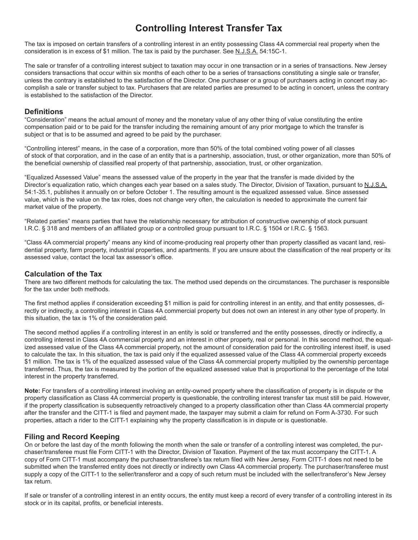# **Controlling Interest Transfer Tax**

The tax is imposed on certain transfers of a controlling interest in an entity possessing Class 4A commercial real property when the consideration is in excess of \$1 million. The tax is paid by the purchaser. See N.J.S.A. 54:15C-1.

The sale or transfer of a controlling interest subject to taxation may occur in one transaction or in a series of transactions. New Jersey considers transactions that occur within six months of each other to be a series of transactions constituting a single sale or transfer, unless the contrary is established to the satisfaction of the Director. One purchaser or a group of purchasers acting in concert may accomplish a sale or transfer subject to tax. Purchasers that are related parties are presumed to be acting in concert, unless the contrary is established to the satisfaction of the Director.

### **Definitions**

"Consideration" means the actual amount of money and the monetary value of any other thing of value constituting the entire compensation paid or to be paid for the transfer including the remaining amount of any prior mortgage to which the transfer is subject or that is to be assumed and agreed to be paid by the purchaser.

"Controlling interest" means, in the case of a corporation, more than 50% of the total combined voting power of all classes of stock of that corporation, and in the case of an entity that is a partnership, association, trust, or other organization, more than 50% of the beneficial ownership of classified real property of that partnership, association, trust, or other organization.

"Equalized Assessed Value" means the assessed value of the property in the year that the transfer is made divided by the Director's equalization ratio, which changes each year based on a sales study. The Director, Division of Taxation, pursuant to N.J.S.A. 54:1-35.1, publishes it annually on or before October 1. The resulting amount is the equalized assessed value. Since assessed value, which is the value on the tax roles, does not change very often, the calculation is needed to approximate the current fair market value of the property.

"Related parties" means parties that have the relationship necessary for attribution of constructive ownership of stock pursuant I.R.C. § 318 and members of an affiliated group or a controlled group pursuant to I.R.C. § 1504 or I.R.C. § 1563.

"Class 4A commercial property" means any kind of income-producing real property other than property classified as vacant land, residential property, farm property, industrial properties, and apartments. If you are unsure about the classification of the real property or its assessed value, contact the local tax assessor's office.

## **Calculation of the Tax**

There are two different methods for calculating the tax. The method used depends on the circumstances. The purchaser is responsible for the tax under both methods.

The first method applies if consideration exceeding \$1 million is paid for controlling interest in an entity, and that entity possesses, directly or indirectly, a controlling interest in Class 4A commercial property but does not own an interest in any other type of property. In this situation, the tax is 1% of the consideration paid.

The second method applies if a controlling interest in an entity is sold or transferred and the entity possesses, directly or indirectly, a controlling interest in Class 4A commercial property and an interest in other property, real or personal. In this second method, the equalized assessed value of the Class 4A commercial property, not the amount of consideration paid for the controlling interest itself, is used to calculate the tax. In this situation, the tax is paid only if the equalized assessed value of the Class 4A commercial property exceeds \$1 million. The tax is 1% of the equalized assessed value of the Class 4A commercial property multiplied by the ownership percentage transferred. Thus, the tax is measured by the portion of the equalized assessed value that is proportional to the percentage of the total interest in the property transferred.

**Note:** For transfers of a controlling interest involving an entity-owned property where the classification of property is in dispute or the property classification as Class 4A commercial property is questionable, the controlling interest transfer tax must still be paid. However, if the property classification is subsequently retroactively changed to a property classification other than Class 4A commercial property after the transfer and the CITT-1 is filed and payment made, the taxpayer may submit a claim for refund on Form A-3730. For such properties, attach a rider to the CITT-1 explaining why the property classification is in dispute or is questionable.

# **Filing and Record Keeping**

On or before the last day of the month following the month when the sale or transfer of a controlling interest was completed, the purchaser/transferee must file Form CITT-1 with the Director, Division of Taxation. Payment of the tax must accompany the CITT-1. A copy of Form CITT-1 must accompany the purchaser/transferee's tax return filed with New Jersey. Form CITT-1 does not need to be submitted when the transferred entity does not directly or indirectly own Class 4A commercial property. The purchaser/transferee must supply a copy of the CITT-1 to the seller/transferor and a copy of such return must be included with the seller/transferor's New Jersey tax return.

If sale or transfer of a controlling interest in an entity occurs, the entity must keep a record of every transfer of a controlling interest in its stock or in its capital, profits, or beneficial interests.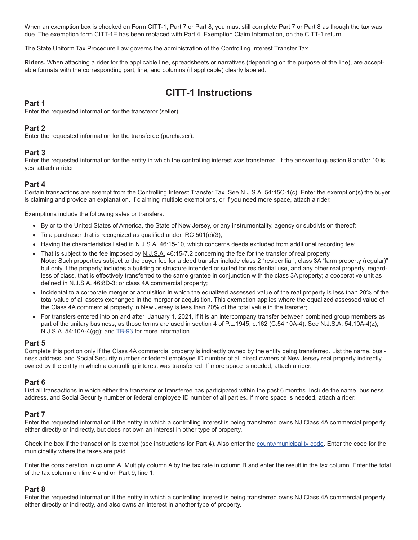When an exemption box is checked on Form CITT-1, Part 7 or Part 8, you must still complete Part 7 or Part 8 as though the tax was due. The exemption form CITT-1E has been replaced with Part 4, Exemption Claim Information, on the CITT-1 return.

The State Uniform Tax Procedure Law governs the administration of the Controlling Interest Transfer Tax.

**Riders.** When attaching a rider for the applicable line, spreadsheets or narratives (depending on the purpose of the line), are acceptable formats with the corresponding part, line, and columns (if applicable) clearly labeled.

# **CITT-1 Instructions**

### **Part 1**

Enter the requested information for the transferor (seller).

#### **Part 2**

Enter the requested information for the transferee (purchaser).

#### **Part 3**

Enter the requested information for the entity in which the controlling interest was transferred. If the answer to question 9 and/or 10 is yes, attach a rider.

#### **Part 4**

Certain transactions are exempt from the Controlling Interest Transfer Tax. See N.J.S.A. 54:15C-1(c). Enter the exemption(s) the buyer is claiming and provide an explanation. If claiming multiple exemptions, or if you need more space, attach a rider.

Exemptions include the following sales or transfers:

- By or to the United States of America, the State of New Jersey, or any instrumentality, agency or subdivision thereof;
- To a purchaser that is recognized as qualified under IRC 501(c)(3);
- Having the characteristics listed in N.J.S.A. 46:15-10, which concerns deeds excluded from additional recording fee;
- That is subject to the fee imposed by N.J.S.A. 46:15-7.2 concerning the fee for the transfer of real property **Note:** Such properties subject to the buyer fee for a deed transfer include class 2 "residential"; class 3A "farm property (regular)" but only if the property includes a building or structure intended or suited for residential use, and any other real property, regardless of class, that is effectively transferred to the same grantee in conjunction with the class 3A property; a cooperative unit as defined in N.J.S.A. 46:8D-3; or class 4A commercial property;
- Incidental to a corporate merger or acquisition in which the equalized assessed value of the real property is less than 20% of the total value of all assets exchanged in the merger or acquisition. This exemption applies where the equalized assessed value of the Class 4A commercial property in New Jersey is less than 20% of the total value in the transfer;
- For transfers entered into on and after January 1, 2021, if it is an intercompany transfer between combined group members as part of the unitary business, as those terms are used in section 4 of P.L.1945, c.162 (C.54:10A-4). See N.J.S.A. 54:10A-4(z); N.J.S.A. 54:10A-4(gg); and TB-93 for more information.

#### **Part 5**

Complete this portion only if the Class 4A commercial property is indirectly owned by the entity being transferred. List the name, business address, and Social Security number or federal employee ID number of all direct owners of New Jersey real property indirectly owned by the entity in which a controlling interest was transferred. If more space is needed, attach a rider.

#### **Part 6**

List all transactions in which either the transferor or transferee has participated within the past 6 months. Include the name, business address, and Social Security number or federal employee ID number of all parties. If more space is needed, attach a rider.

#### **Part 7**

Enter the requested information if the entity in which a controlling interest is being transferred owns NJ Class 4A commercial property, either directly or indirectly, but does not own an interest in other type of property.

Check the box if the transaction is exempt (see instructions for Part 4). Also enter the county/municipality code. Enter the code for the municipality where the taxes are paid.

Enter the consideration in column A. Multiply column A by the tax rate in column B and enter the result in the tax column. Enter the total of the tax column on line 4 and on Part 9, line 1.

#### **Part 8**

Enter the requested information if the entity in which a controlling interest is being transferred owns NJ Class 4A commercial property, either directly or indirectly, and also owns an interest in another type of property.